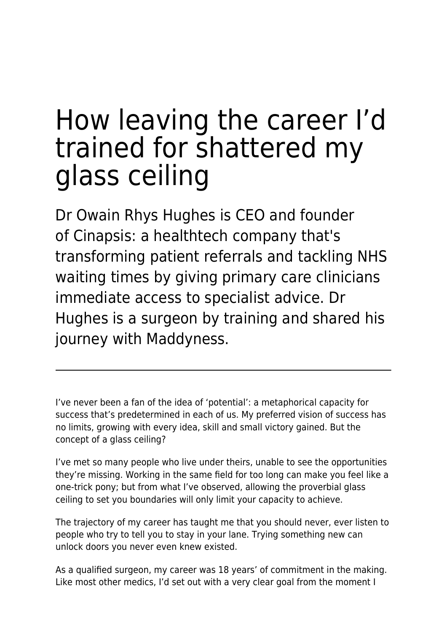## How leaving the career I'd trained for shattered my glass ceiling

Dr Owain Rhys Hughes is CEO and founder of Cinapsis: a healthtech company that's transforming patient referrals and tackling NHS waiting times by giving primary care clinicians immediate access to specialist advice. Dr Hughes is a surgeon by training and shared his journey with Maddyness.

I've never been a fan of the idea of 'potential': a metaphorical capacity for success that's predetermined in each of us. My preferred vision of success has no limits, growing with every idea, skill and small victory gained. But the concept of a glass ceiling?

I've met so many people who live under theirs, unable to see the opportunities they're missing. Working in the same field for too long can make you feel like a one-trick pony; but from what I've observed, allowing the proverbial glass ceiling to set you boundaries will only limit your capacity to achieve.

The trajectory of my career has taught me that you should never, ever listen to people who try to tell you to stay in your lane. Trying something new can unlock doors you never even knew existed.

As a qualified surgeon, my career was 18 years' of commitment in the making. Like most other medics, I'd set out with a very clear goal from the moment I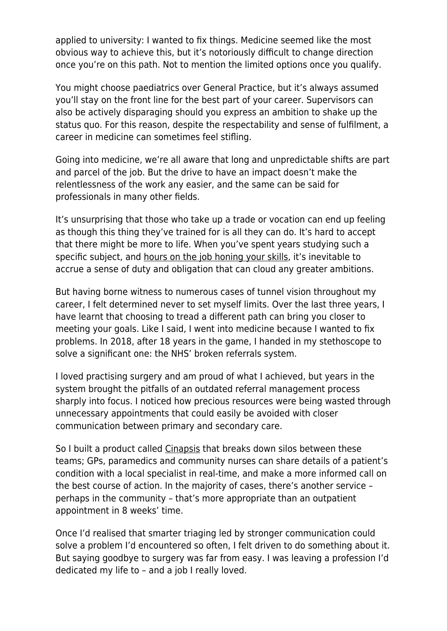applied to university: I wanted to fix things. Medicine seemed like the most obvious way to achieve this, but it's notoriously difficult to change direction once you're on this path. Not to mention the limited options once you qualify.

You might choose paediatrics over General Practice, but it's always assumed you'll stay on the front line for the best part of your career. Supervisors can also be actively disparaging should you express an ambition to shake up the status quo. For this reason, despite the respectability and sense of fulfilment, a career in medicine can sometimes feel stifling.

Going into medicine, we're all aware that long and unpredictable shifts are part and parcel of the job. But the drive to have an impact doesn't make the relentlessness of the work any easier, and the same can be said for professionals in many other fields.

It's unsurprising that those who take up a trade or vocation can end up feeling as though this thing they've trained for is all they can do. It's hard to accept that there might be more to life. When you've spent years studying such a specific subject, and [hours on the job honing your skills,](https://www.maddyness.com/uk/2020/06/09/top-10-most-in-demand-career-and-business-skills-for-2020/) it's inevitable to accrue a sense of duty and obligation that can cloud any greater ambitions.

But having borne witness to numerous cases of tunnel vision throughout my career, I felt determined never to set myself limits. Over the last three years, I have learnt that choosing to tread a different path can bring you closer to meeting your goals. Like I said, I went into medicine because I wanted to fix problems. In 2018, after 18 years in the game, I handed in my stethoscope to solve a significant one: the NHS' broken referrals system.

I loved practising surgery and am proud of what I achieved, but years in the system brought the pitfalls of an outdated referral management process sharply into focus. I noticed how precious resources were being wasted through unnecessary appointments that could easily be avoided with closer communication between primary and secondary care.

So I built a product called [Cinapsis](https://www.cinapsis.org/) that breaks down silos between these teams; GPs, paramedics and community nurses can share details of a patient's condition with a local specialist in real-time, and make a more informed call on the best course of action. In the majority of cases, there's another service – perhaps in the community – that's more appropriate than an outpatient appointment in 8 weeks' time.

Once I'd realised that smarter triaging led by stronger communication could solve a problem I'd encountered so often, I felt driven to do something about it. But saying goodbye to surgery was far from easy. I was leaving a profession I'd dedicated my life to – and a job I really loved.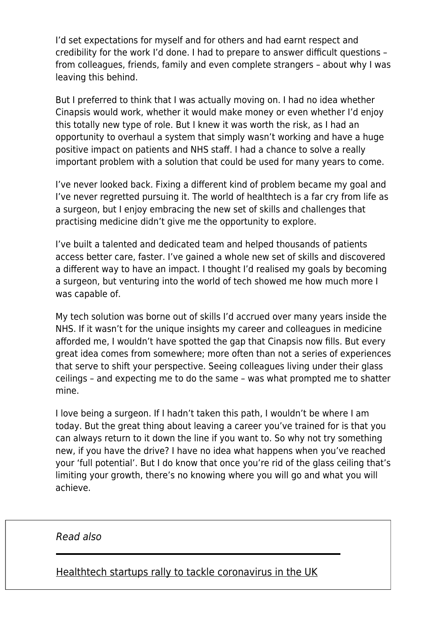I'd set expectations for myself and for others and had earnt respect and credibility for the work I'd done. I had to prepare to answer difficult questions – from colleagues, friends, family and even complete strangers – about why I was leaving this behind.

But I preferred to think that I was actually moving on. I had no idea whether Cinapsis would work, whether it would make money or even whether I'd enjoy this totally new type of role. But I knew it was worth the risk, as I had an opportunity to overhaul a system that simply wasn't working and have a huge positive impact on patients and NHS staff. I had a chance to solve a really important problem with a solution that could be used for many years to come.

I've never looked back. Fixing a different kind of problem became my goal and I've never regretted pursuing it. The world of healthtech is a far cry from life as a surgeon, but I enjoy embracing the new set of skills and challenges that practising medicine didn't give me the opportunity to explore.

I've built a talented and dedicated team and helped thousands of patients access better care, faster. I've gained a whole new set of skills and discovered a different way to have an impact. I thought I'd realised my goals by becoming a surgeon, but venturing into the world of tech showed me how much more I was capable of.

My tech solution was borne out of skills I'd accrued over many years inside the NHS. If it wasn't for the unique insights my career and colleagues in medicine afforded me, I wouldn't have spotted the gap that Cinapsis now fills. But every great idea comes from somewhere; more often than not a series of experiences that serve to shift your perspective. Seeing colleagues living under their glass ceilings – and expecting me to do the same – was what prompted me to shatter mine.

I love being a surgeon. If I hadn't taken this path, I wouldn't be where I am today. But the great thing about leaving a career you've trained for is that you can always return to it down the line if you want to. So why not try something new, if you have the drive? I have no idea what happens when you've reached your 'full potential'. But I do know that once you're rid of the glass ceiling that's limiting your growth, there's no knowing where you will go and what you will achieve.

## Read also

[Healthtech startups rally to tackle coronavirus in the UK](https://www.maddyness.com/uk/2020/04/24/healthtech-startups-rally-to-tackle-coronavirus-in-the-uk/)